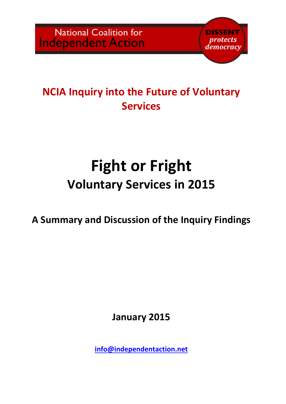

## NCIA Inquiry into the Future of Voluntary **Services**

# Fight or Fright Voluntary Services in 2015

A Summary and Discussion of the Inquiry Findings

January 2015

info@independentaction.net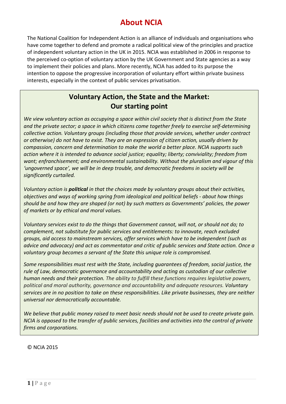## About NCIA

The National Coalition for Independent Action is an alliance of individuals and organisations who have come together to defend and promote a radical political view of the principles and practice of independent voluntary action in the UK in 2015. NCIA was established in 2006 in response to the perceived co-option of voluntary action by the UK Government and State agencies as a way to implement their policies and plans. More recently, NCIA has added to its purpose the intention to oppose the progressive incorporation of voluntary effort within private business interests, especially in the context of public services privatisation.

## Voluntary Action, the State and the Market: Our starting point

We view voluntary action as occupying a space within civil society that is distinct from the State and the private sector; a space in which citizens come together freely to exercise self-determining collective action. Voluntary groups (including those that provide services, whether under contract or otherwise) do not have to exist. They are an expression of citizen action, usually driven by compassion, concern and determination to make the world a better place. NCIA supports such action where it is intended to advance social justice; equality; liberty; conviviality; freedom from want; enfranchisement; and environmental sustainability. Without the pluralism and vigour of this 'ungoverned space', we will be in deep trouble, and democratic freedoms in society will be significantly curtailed.

Voluntary action is **political** in that the choices made by voluntary groups about their activities, objectives and ways of working spring from ideological and political beliefs - about how things should be and how they are shaped (or not) by such matters as Governments' policies, the power of markets or by ethical and moral values.

Voluntary services exist to do the things that Government cannot, will not, or should not do; to complement, not substitute for public services and entitlements: to innovate, reach excluded groups, aid access to mainstream services, offer services which have to be independent (such as advice and advocacy) and act as commentator and critic of public services and State action. Once a voluntary group becomes a servant of the State this unique role is compromised.

Some responsibilities must rest with the State, including guarantees of freedom, social justice, the rule of Law, democratic governance and accountability and acting as custodian of our collective human needs and their protection. The ability to fulfill these functions requires legislative powers, political and moral authority, governance and accountability and adequate resources. Voluntary services are in no position to take on these responsibilities. Like private businesses, they are neither universal nor democratically accountable.

We believe that public money raised to meet basic needs should not be used to create private gain. NCIA is opposed to the transfer of public services, facilities and activities into the control of private firms and corporations.

© NCIA 2015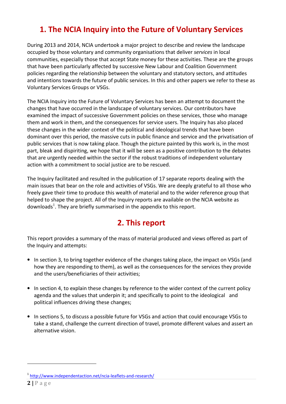## 1. The NCIA Inquiry into the Future of Voluntary Services

During 2013 and 2014, NCIA undertook a major project to describe and review the landscape occupied by those voluntary and community organisations that deliver services in local communities, especially those that accept State money for these activities. These are the groups that have been particularly affected by successive New Labour and Coalition Government policies regarding the relationship between the voluntary and statutory sectors, and attitudes and intentions towards the future of public services. In this and other papers we refer to these as Voluntary Services Groups or VSGs.

The NCIA Inquiry into the Future of Voluntary Services has been an attempt to document the changes that have occurred in the landscape of voluntary services. Our contributors have examined the impact of successive Government policies on these services, those who manage them and work in them, and the consequences for service users. The Inquiry has also placed these changes in the wider context of the political and ideological trends that have been dominant over this period, the massive cuts in public finance and service and the privatisation of public services that is now taking place. Though the picture painted by this work is, in the most part, bleak and dispiriting, we hope that it will be seen as a positive contribution to the debates that are urgently needed within the sector if the robust traditions of independent voluntary action with a commitment to social justice are to be rescued.

The Inquiry facilitated and resulted in the publication of 17 separate reports dealing with the main issues that bear on the role and activities of VSGs. We are deeply grateful to all those who freely gave their time to produce this wealth of material and to the wider reference group that helped to shape the project. All of the Inquiry reports are available on the NCIA website as downloads<sup>1</sup>. They are briefly summarised in the appendix to this report.

## 2. This report

This report provides a summary of the mass of material produced and views offered as part of the Inquiry and attempts:

- In section 3, to bring together evidence of the changes taking place, the impact on VSGs (and how they are responding to them), as well as the consequences for the services they provide and the users/beneficiaries of their activities;
- In section 4, to explain these changes by reference to the wider context of the current policy agenda and the values that underpin it; and specifically to point to the ideological and political influences driving these changes;
- In sections 5, to discuss a possible future for VSGs and action that could encourage VSGs to take a stand, challenge the current direction of travel, promote different values and assert an alternative vision.

<sup>&</sup>lt;sup>1</sup> http://www.independentaction.net/ncia-leaflets-and-research/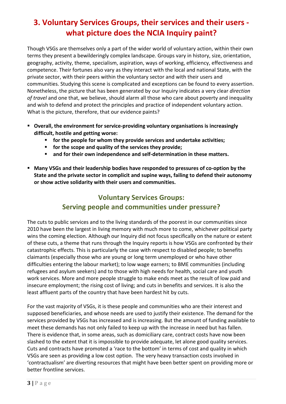## 3. Voluntary Services Groups, their services and their users what picture does the NCIA Inquiry paint?

Though VSGs are themselves only a part of the wider world of voluntary action, within their own terms they present a bewilderingly complex landscape. Groups vary in history, size, orientation, geography, activity, theme, specialism, aspiration, ways of working, efficiency, effectiveness and competence. Their fortunes also vary as they interact with the local and national State, with the private sector, with their peers within the voluntary sector and with their users and communities. Studying this scene is complicated and exceptions can be found to every assertion. Nonetheless, the picture that has been generated by our Inquiry indicates a very clear direction of travel and one that, we believe, should alarm all those who care about poverty and inequality and wish to defend and protect the principles and practice of independent voluntary action. What is the picture, therefore, that our evidence paints?

- Overall, the environment for service-providing voluntary organisations is increasingly difficult, hostile and getting worse:
	- **for the people for whom they provide services and undertake activities;**
	- **for the scope and quality of the services they provide;**
	- **E** and for their own independence and self-determination in these matters.
- Many VSGs and their leadership bodies have responded to pressures of co-option by the State and the private sector in complicit and supine ways, failing to defend their autonomy or show active solidarity with their users and communities.

## Voluntary Services Groups: Serving people and communities under pressure?

The cuts to public services and to the living standards of the poorest in our communities since 2010 have been the largest in living memory with much more to come, whichever political party wins the coming election. Although our Inquiry did not focus specifically on the nature or extent of these cuts, a theme that runs through the Inquiry reports is how VSGs are confronted by their catastrophic effects. This is particularly the case with respect to disabled people; to benefits claimants (especially those who are young or long term unemployed or who have other difficulties entering the labour market); to low wage earners; to BME communities (including refugees and asylum seekers) and to those with high needs for health, social care and youth work services. More and more people struggle to make ends meet as the result of low paid and insecure employment; the rising cost of living; and cuts in benefits and services. It is also the least affluent parts of the country that have been hardest hit by cuts.

For the vast majority of VSGs, it is these people and communities who are their interest and supposed beneficiaries, and whose needs are used to justify their existence. The demand for the services provided by VSGs has increased and is increasing. But the amount of funding available to meet these demands has not only failed to keep up with the increase in need but has fallen. There is evidence that, in some areas, such as domiciliary care, contract costs have now been slashed to the extent that it is impossible to provide adequate, let alone good quality services. Cuts and contracts have promoted a 'race to the bottom' in terms of cost and quality in which VSGs are seen as providing a low cost option. The very heavy transaction costs involved in 'contractualism' are diverting resources that might have been better spent on providing more or better frontline services.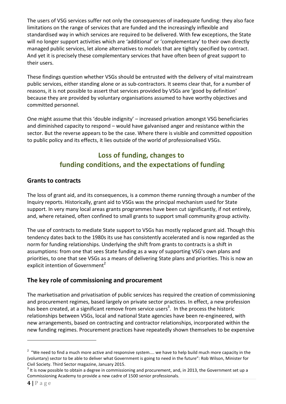The users of VSG services suffer not only the consequences of inadequate funding: they also face limitations on the range of services that are funded and the increasingly inflexible and standardised way in which services are required to be delivered. With few exceptions, the State will no longer support activities which are 'additional' or 'complementary' to their own directly managed public services, let alone alternatives to models that are tightly specified by contract. And yet it is precisely these complementary services that have often been of great support to their users.

These findings question whether VSGs should be entrusted with the delivery of vital mainstream public services, either standing alone or as sub-contractors. It seems clear that, for a number of reasons, it is not possible to assert that services provided by VSGs are 'good by definition' because they are provided by voluntary organisations assumed to have worthy objectives and committed personnel.

One might assume that this 'double indignity' – increased privation amongst VSG beneficiaries and diminished capacity to respond – would have galvanised anger and resistance within the sector. But the reverse appears to be the case. Where there is visible and committed opposition to public policy and its effects, it lies outside of the world of professionalised VSGs.

## Loss of funding, changes to funding conditions, and the expectations of funding

#### Grants to contracts

The loss of grant aid, and its consequences, is a common theme running through a number of the Inquiry reports. Historically, grant aid to VSGs was the principal mechanism used for State support. In very many local areas grants programmes have been cut significantly, if not entirely, and, where retained, often confined to small grants to support small community group activity.

The use of contracts to mediate State support to VSGs has mostly replaced grant aid. Though this tendency dates back to the 1980s its use has consistently accelerated and is now regarded as the norm for funding relationships. Underlying the shift from grants to contracts is a shift in assumptions: from one that sees State funding as a way of supporting VSG's own plans and priorities, to one that see VSGs as a means of delivering State plans and priorities. This is now an explicit intention of Government<sup>2</sup>

#### The key role of commissioning and procurement

The marketisation and privatisation of public services has required the creation of commissioning and procurement regimes, based largely on private sector practices. In effect, a new profession has been created, at a significant remove from service users<sup>3</sup>. In the process the historic relationships between VSGs, local and national State agencies have been re-engineered, with new arrangements, based on contracting and contractor relationships, incorporated within the new funding regimes. Procurement practices have repeatedly shown themselves to be expensive

 $2\degree$  "We need to find a much more active and responsive system.... we have to help build much more capacity in the (voluntary) sector to be able to deliver what Government is going to need in the future": Rob Wilson, Minister for Civil Society. Third Sector magazine, January 2015.

 $3$  It is now possible to obtain a degree in commissioning and procurement, and, in 2013, the Government set up a Commissioning Academy to provide a new cadre of 1500 senior professionals.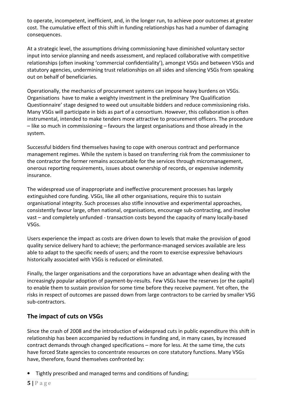to operate, incompetent, inefficient, and, in the longer run, to achieve poor outcomes at greater cost. The cumulative effect of this shift in funding relationships has had a number of damaging consequences.

At a strategic level, the assumptions driving commissioning have diminished voluntary sector input into service planning and needs assessment, and replaced collaborative with competitive relationships (often invoking 'commercial confidentiality'), amongst VSGs and between VSGs and statutory agencies, undermining trust relationships on all sides and silencing VSGs from speaking out on behalf of beneficiaries.

Operationally, the mechanics of procurement systems can impose heavy burdens on VSGs. Organisations have to make a weighty investment in the preliminary 'Pre Qualification Questionnaire' stage designed to weed out unsuitable bidders and reduce commissioning risks. Many VSGs will participate in bids as part of a consortium. However, this collaboration is often instrumental, intended to make tenders more attractive to procurement officers. The procedure – like so much in commissioning – favours the largest organisations and those already in the system.

Successful bidders find themselves having to cope with onerous contract and performance management regimes. While the system is based on transferring risk from the commissioner to the contractor the former remains accountable for the services through micromanagement, onerous reporting requirements, issues about ownership of records, or expensive indemnity insurance.

The widespread use of inappropriate and ineffective procurement processes has largely extinguished core funding. VSGs, like all other organisations, require this to sustain organisational integrity. Such processes also stifle innovative and experimental approaches, consistently favour large, often national, organisations, encourage sub-contracting, and involve vast – and completely unfunded - transaction costs beyond the capacity of many locally-based VSGs.

Users experience the impact as costs are driven down to levels that make the provision of good quality service delivery hard to achieve; the performance-managed services available are less able to adapt to the specific needs of users; and the room to exercise expressive behaviours historically associated with VSGs is reduced or eliminated.

Finally, the larger organisations and the corporations have an advantage when dealing with the increasingly popular adoption of payment-by-results. Few VSGs have the reserves (or the capital) to enable them to sustain provision for some time before they receive payment. Yet often, the risks in respect of outcomes are passed down from large contractors to be carried by smaller VSG sub-contractors.

#### The impact of cuts on VSGs

Since the crash of 2008 and the introduction of widespread cuts in public expenditure this shift in relationship has been accompanied by reductions in funding and, in many cases, by increased contract demands through changed specifications – more for less. At the same time, the cuts have forced State agencies to concentrate resources on core statutory functions. Many VSGs have, therefore, found themselves confronted by:

• Tightly prescribed and managed terms and conditions of funding;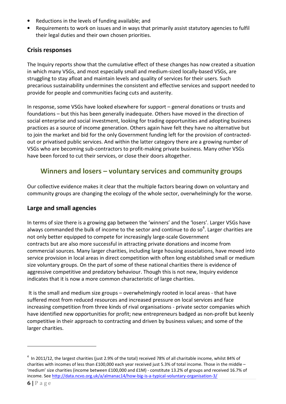- Reductions in the levels of funding available; and
- Requirements to work on issues and in ways that primarily assist statutory agencies to fulfil their legal duties and their own chosen priorities.

#### Crisis responses

The Inquiry reports show that the cumulative effect of these changes has now created a situation in which many VSGs, and most especially small and medium-sized locally-based VSGs, are struggling to stay afloat and maintain levels and quality of services for their users. Such precarious sustainability undermines the consistent and effective services and support needed to provide for people and communities facing cuts and austerity.

In response, some VSGs have looked elsewhere for support – general donations or trusts and foundations – but this has been generally inadequate. Others have moved in the direction of social enterprise and social investment, looking for trading opportunities and adopting business practices as a source of income generation. Others again have felt they have no alternative but to join the market and bid for the only Government funding left for the provision of contractedout or privatised public services. And within the latter category there are a growing number of VSGs who are becoming sub-contractors to profit-making private business. Many other VSGs have been forced to cut their services, or close their doors altogether.

#### Winners and losers – voluntary services and community groups

Our collective evidence makes it clear that the multiple factors bearing down on voluntary and community groups are changing the ecology of the whole sector, overwhelmingly for the worse.

#### Large and small agencies

In terms of size there is a growing gap between the 'winners' and the 'losers'. Larger VSGs have always commanded the bulk of income to the sector and continue to do so<sup>4</sup>. Larger charities are not only better equipped to compete for increasingly large-scale Government contracts but are also more successful in attracting private donations and income from commercial sources. Many larger charities, including large housing associations, have moved into service provision in local areas in direct competition with often long established small or medium size voluntary groups. On the part of some of these national charities there is evidence of aggressive competitive and predatory behaviour. Though this is not new, Inquiry evidence indicates that it is now a more common characteristic of large charities.

 It is the small and medium size groups – overwhelmingly rooted in local areas - that have suffered most from reduced resources and increased pressure on local services and face increasing competition from three kinds of rival organisations - private sector companies which have identified new opportunities for profit; new entrepreneurs badged as non-profit but keenly competitive in their approach to contracting and driven by business values; and some of the larger charities.

 $^4$  In 2011/12, the largest charities (just 2.9% of the total) received 78% of all charitable income, whilst 84% of charities with incomes of less than £100,000 each year received just 5.3% of total income. Those in the middle – 'medium' size charities (income between £100,000 and £1M) - constitute 13.2% of groups and received 16.7% of income. See http://data.ncvo.org.uk/a/almanac14/how-big-is-a-typical-voluntary-organisation-3/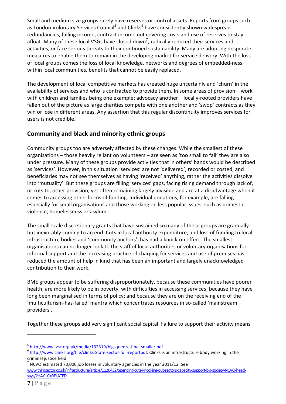Small and medium size groups rarely have reserves or control assets. Reports from groups such as London Voluntary Services Council<sup>5</sup> and Clinks<sup>6</sup> have consistently shown widespread redundancies, falling income, contract income not covering costs and use of reserves to stay afloat. Many of these local VSGs have closed down<sup>7</sup>, radically reduced their services and activities, or face serious threats to their continued sustainability. Many are adopting desperate measures to enable them to remain in the developing market for service delivery. With the loss of local groups comes the loss of local knowledge, networks and degrees of embedded-ness within local communities, benefits that cannot be easily replaced.

The development of local competitive markets has created huge uncertainly and 'churn' in the availability of services and who is contracted to provide them. In some areas of provision – work with children and families being one example; advocacy another – locally-rooted providers have fallen out of the picture as large charities compete with one another and 'swop' contracts as they win or lose in different areas. Any assertion that this regular discontinuity improves services for users is not credible.

#### Community and black and minority ethnic groups

Community groups too are adversely affected by these changes. While the smallest of these organisations – those heavily reliant on volunteers – are seen as 'too small to fail' they are also under pressure. Many of these groups provide activities that in others' hands would be described as 'services'. However, in this situation 'services' are not 'delivered', recorded or costed, and beneficiaries may not see themselves as having 'received' anything, rather the activities dissolve into 'mutuality'. But these groups are filling 'services' gaps, facing rising demand through lack of, or cuts to, other provision, yet often remaining largely invisible and are at a disadvantage when it comes to accessing other forms of funding. Individual donations, for example, are falling especially for small organisations and those working on less popular issues, such as domestic violence, homelessness or asylum.

The small-scale discretionary grants that have sustained so many of these groups are gradually but inexorably coming to an end. Cuts in local authority expenditure, and loss of funding to local infrastructure bodies and 'community anchors', has had a knock-on effect. The smallest organisations can no longer look to the staff of local authorities or voluntary organisations for informal support and the increasing practice of charging for services and use of premises has reduced the amount of help in kind that has been an important and largely unacknowledged contribution to their work.

BME groups appear to be suffering disproportionately, because these communities have poorer health, are more likely to be in poverty, with difficulties in accessing services; because they have long been marginalised in terms of policy; and because they are on the receiving end of the 'multiculturism-has-failed' mantra which concentrates resources in so-called 'mainstream providers'.

Together these groups add very significant social capital. Failure to support their activity means

7 NCVO estimated 70,000 job losses in voluntary agencies in the year 2011/12. See

www.thirdsector.co.uk/Infrastructure/article/1120432/Spending-cuts-knocking-out-sectors-capacity-support-big-society-NCVO-headsays/?HAYILC=RELATED

<sup>&</sup>lt;sup>5</sup> http://www.lvsc.org.uk/media/132319/bigsqueeze-final-smaller.pdf

<sup>&</sup>lt;sup>6</sup> http://www.clinks.org/file/clinks-State-sector-full-reportpdf. Clinks is an infrastructure body working in the criminal justice field.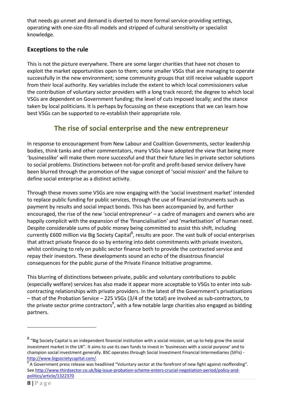that needs go unmet and demand is diverted to more formal service-providing settings, operating with one-size-fits-all models and stripped of cultural sensitivity or specialist knowledge.

#### Exceptions to the rule

This is not the picture everywhere. There are some larger charities that have not chosen to exploit the market opportunities open to them; some smaller VSGs that are managing to operate successfully in the new environment; some community groups that still receive valuable support from their local authority. Key variables include the extent to which local commissioners value the contribution of voluntary sector providers with a long track record; the degree to which local VSGs are dependent on Government funding; the level of cuts imposed locally; and the stance taken by local politicians. It is perhaps by focussing on these exceptions that we can learn how best VSGs can be supported to re-establish their appropriate role.

#### The rise of social enterprise and the new entrepreneur

In response to encouragement from New Labour and Coalition Governments, sector leadership bodies, think tanks and other commentators, many VSGs have adopted the view that being more 'businesslike' will make them more successful and that their future lies in private sector solutions to social problems. Distinctions between not-for-profit and profit-based service delivery have been blurred through the promotion of the vague concept of 'social mission' and the failure to define social enterprise as a distinct activity.

Through these moves some VSGs are now engaging with the 'social investment market' intended to replace public funding for public services, through the use of financial instruments such as payment by results and social impact bonds. This has been accompanied by, and further encouraged, the rise of the new 'social entrepreneur' – a cadre of managers and owners who are happily complicit with the expansion of the 'financialisation' and 'marketisation' of human need. Despite considerable sums of public money being committed to assist this shift, including currently £600 million via Big Society Capital<sup>8</sup>, results are poor. The vast bulk of social enterprises that attract private finance do so by entering into debt commitments with private investors, whilst continuing to rely on public sector finance both to provide the contracted service and repay their investors. These developments sound an echo of the disastrous financial consequences for the public purse of the Private Finance Initiative programme.

This blurring of distinctions between private, public and voluntary contributions to public (especially welfare) services has also made it appear more acceptable to VSGs to enter into subcontracting relationships with private providers. In the latest of the Government's privatisations – that of the Probation Service – 225 VSGs (3/4 of the total) are involved as sub-contractors, to the private sector prime contractors<sup>9</sup>, with a few notable large charities also engaged as bidding partners.

 $^8$  "Big Society Capital is an independent financial institution with a social mission, set up to help grow the social investment market in the UK". It aims to use its own funds to invest in 'businesses with a social purpose' and to champion social investment generally. BSC operates through Social Investment Financial Intermediaries (SIFIs) http://www.bigsocietycapital.com/.<br>9 A Covernment press release was b

 $^9$  A Government press release was headlined "Voluntary sector at the forefront of new fight against reoffending". See http://www.thirdsector.co.uk/big-issue-probation-scheme-enters-crucial-negotiation-period/policy-andpolitics/article/1322370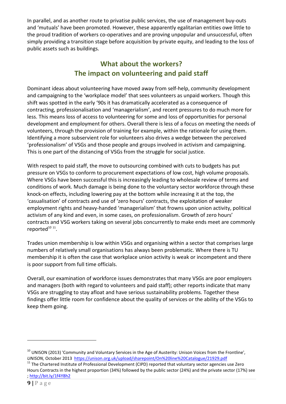In parallel, and as another route to privatise public services, the use of management buy-outs and 'mutuals' have been promoted. However, these apparently egalitarian entities owe little to the proud tradition of workers co-operatives and are proving unpopular and unsuccessful, often simply providing a transition stage before acquisition by private equity, and leading to the loss of public assets such as buildings.

## What about the workers? The impact on volunteering and paid staff

Dominant ideas about volunteering have moved away from self-help, community development and campaigning to the 'workplace model' that sees volunteers as unpaid workers. Though this shift was spotted in the early '90s it has dramatically accelerated as a consequence of contracting, professionalisation and 'managerialism', and recent pressures to do much more for less. This means loss of access to volunteering for some and loss of opportunities for personal development and employment for others. Overall there is less of a focus on meeting the needs of volunteers, through the provision of training for example, within the rationale for using them. Identifying a more subservient role for volunteers also drives a wedge between the perceived 'professionalism' of VSGs and those people and groups involved in activism and campaigning. This is one part of the distancing of VSGs from the struggle for social justice.

With respect to paid staff, the move to outsourcing combined with cuts to budgets has put pressure on VSGs to conform to procurement expectations of low cost, high volume proposals. Where VSGs have been successful this is increasingly leading to wholesale review of terms and conditions of work. Much damage is being done to the voluntary sector workforce through these knock-on effects, including lowering pay at the bottom while increasing it at the top, the 'casualisation' of contracts and use of 'zero hours' contracts, the exploitation of weaker employment rights and heavy-handed 'managerialism' that frowns upon union activity, political activism of any kind and even, in some cases, on professionalism. Growth of zero hours' contracts and VSG workers taking on several jobs concurrently to make ends meet are commonly reported<sup>10 11</sup>.

Trades union membership is low within VSGs and organising within a sector that comprises large numbers of relatively small organisations has always been problematic. Where there is TU membership it is often the case that workplace union activity is weak or incompetent and there is poor support from full time officials.

Overall, our examination of workforce issues demonstrates that many VSGs are poor employers and managers (both with regard to volunteers and paid staff); other reports indicate that many VSGs are struggling to stay afloat and have serious sustainability problems. Together these findings offer little room for confidence about the quality of services or the ability of the VSGs to keep them going.

<sup>&</sup>lt;sup>10</sup> UNISON (2013) 'Community and Voluntary Services in the Age of Austerity: Unison Voices from the Frontline', UNISON, October 2013 https://unison.org.uk/upload/sharepoint/On%20line%20Catalogue/21929.pdf

 $11$  The Chartered Institute of Professional Development (CIPD) reported that voluntary sector agencies use Zero Hours Contracts in the highest proportion (34%) followed by the public sector (24%) and the private sector (17%) see ; http://bit.ly/1f4Y8h2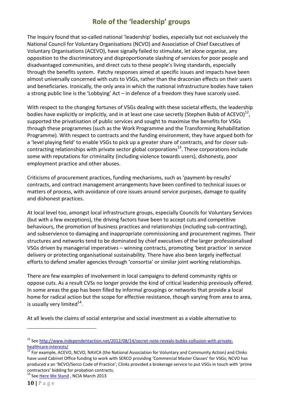## Role of the 'leadership' groups

The Inquiry found that so-called national 'leadership' bodies, especially but not exclusively the National Council for Voluntary Organisations (NCVO) and Association of Chief Executives of Voluntary Organisations (ACEVO), have signally failed to stimulate, let alone organise, any opposition to the discriminatory and disproportionate slashing of services for poor people and disadvantaged communities, and direct cuts to these people's living standards, especially through the benefits system. Patchy responses aimed at specific issues and impacts have been almost universally concerned with cuts to VSGs, rather than the draconian effects on their users and beneficiaries. Ironically, the only area in which the national infrastructure bodies have taken a strong public line is the 'Lobbying' Act – in defence of a freedom they have scarcely used.

With respect to the changing fortunes of VSGs dealing with these societal effects, the leadership bodies have explicitly or implicitly, and in at least one case secretly (Stephen Bubb of ACEVO)<sup>12</sup>, supported the privatisation of public services and sought to maximise the benefits for VSGs through these programmes (such as the Work Programme and the Transforming Rehabilitation Programme). With respect to contracts and the funding environment, they have argued both for a 'level playing field' to enable VSGs to pick up a greater share of contracts, and for closer subcontracting relationships with private sector global corporations<sup>13</sup>. These corporations include some with reputations for criminality (including violence towards users), dishonesty, poor employment practice and other abuses.

Criticisms of procurement practices, funding mechanisms, such as 'payment-by-results' contracts, and contract management arrangements have been confined to technical issues or matters of process, with avoidance of core issues around service purposes, damage to quality and dishonest practices.

At local level too, amongst local infrastructure groups, especially Councils for Voluntary Services (but with a few exceptions), the driving factors have been to accept cuts and competitive behaviours, the promotion of business practices and relationships (including sub-contracting), and subservience to damaging and inappropriate commissioning and procurement regimes. Their structures and networks tend to be dominated by chief executives of the larger professionalised VSGs driven by managerial imperatives – winning contracts, promoting 'best practice' in service delivery or protecting organisational sustainability. There have also been largely ineffectual efforts to defend smaller agencies through 'consortia' or similar joint working relationships.

There are few examples of involvement in local campaigns to defend community rights or oppose cuts. As a result CVSs no longer provide the kind of critical leadership previously offered. In some areas the gap has been filled by informal groupings or networks that provide a local home for radical action but the scope for effective resistance, though varying from area to area, is usually very limited $^{14}$ .

At all levels the claims of social enterprise and social investment as a viable alternative to

<sup>&</sup>lt;sup>12</sup> See http://www.independentaction.net/2012/08/14/secret-note-reveals-bubbs-collusion-with-privatehealthcare-interests/

<sup>&</sup>lt;sup>13</sup> For example, ACEVO, NCVO, NAVCA (the National Association for Voluntary and Community Action) and Clinks have used Cabinet Office funding to work with SERCO providing 'Commercial Master Classes' for VSGs; NCVO has produced a an 'NCVO/Serco Code of Practice'; Clinks provided a brokerage service to put VSGs in touch with 'prime contractors' bidding for probation contracts.

<sup>&</sup>lt;sup>14</sup> See Here We Stand, NCIA March 2013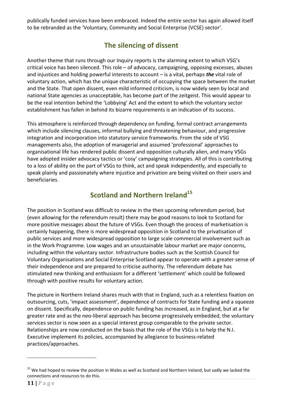publically funded services have been embraced. Indeed the entire sector has again allowed itself to be rebranded as the 'Voluntary, Community and Social Enterprise (VCSE) sector'.

## The silencing of dissent

Another theme that runs through our Inquiry reports is the alarming extent to which VSG's critical voice has been silenced. This role – of advocacy, campaigning, opposing excesses, abuses and injustices and holding powerful interests to account  $-$  is a vital, perhaps the vital role of voluntary action, which has the unique characteristic of occupying the space between the market and the State. That open dissent, even mild informed criticism, is now widely seen by local and national State agencies as unacceptable, has become part of the zeitgeist. This would appear to be the real intention behind the 'Lobbying' Act and the extent to which the voluntary sector establishment has fallen in behind its bizarre requirements is an indication of its success.

This atmosphere is reinforced through dependency on funding, formal contract arrangements which include silencing clauses, informal bullying and threatening behaviour, and progressive integration and incorporation into statutory service frameworks. From the side of VSG managements also, the adoption of managerial and assumed 'professional' approaches to organisational life has rendered public dissent and opposition culturally alien, and many VSGs have adopted insider advocacy tactics or 'cosy' campaigning strategies. All of this is contributing to a loss of ability on the part of VSGs to think, act and speak independently, and especially to speak plainly and passionately where injustice and privation are being visited on their users and beneficiaries.

## Scotland and Northern Ireland $^{15}$

The position in Scotland was difficult to review in the then upcoming referendum period, but (even allowing for the referendum result) there may be good reasons to look to Scotland for more positive messages about the future of VSGs. Even though the process of marketisation is certainly happening, there is more widespread opposition in Scotland to the privatisation of public services and more widespread opposition to large scale commercial involvement such as in the Work Programme. Low wages and an unsustainable labour market are major concerns, including within the voluntary sector. Infrastructure bodies such as the Scottish Council for Voluntary Organisations and Social Enterprise Scotland appear to operate with a greater sense of their independence and are prepared to criticise authority. The referendum debate has stimulated new thinking and enthusiasm for a different 'settlement' which could be followed through with positive results for voluntary action.

The picture in Northern Ireland shares much with that in England, such as a relentless fixation on outsourcing, cuts, 'impact assessment', dependence of contracts for State funding and a squeeze on dissent. Specifically, dependence on public funding has increased, as in England, but at a far greater rate and as the neo-liberal approach has become progressively embedded, the voluntary services sector is now seen as a special interest group comparable to the private sector. Relationships are now conducted on the basis that the role of the VSGs is to help the N.I. Executive implement its policies, accompanied by allegiance to business-related practices/approaches.

 $15$  We had hoped to review the position in Wales as well as Scotland and Northern Ireland, but sadly we lacked the connections and resources to do this.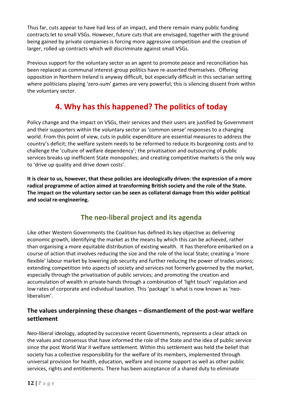Thus far, cuts appear to have had less of an impact, and there remain many public funding contracts let to small VSGs. However, future cuts that are envisaged, together with the ground being gained by private companies is forcing more aggressive competition and the creation of larger, rolled up contracts which will discriminate against small VSGs.

Previous support for the voluntary sector as an agent to promote peace and reconciliation has been replaced as communal interest-group politics have re-asserted themselves. Offering opposition in Northern Ireland is anyway difficult, but especially difficult in this sectarian setting where politicians playing 'zero-sum' games are very powerful; this is silencing dissent from within the voluntary sector.

## 4. Why has this happened? The politics of today

Policy change and the impact on VSGs, their services and their users are justified by Government and their supporters within the voluntary sector as 'common sense' responses to a changing world. From this point of view, cuts in public expenditure are essential measures to address the country's deficit; the welfare system needs to be reformed to reduce its burgeoning costs and to challenge the 'culture of welfare dependency'; the privatisation and outsourcing of public services breaks up inefficient State monopolies; and creating competitive markets is the only way to 'drive up quality and drive down costs'.

It is clear to us, however, that these policies are ideologically driven: the expression of a more radical programme of action aimed at transforming British society and the role of the State. The impact on the voluntary sector can be seen as collateral damage from this wider political and social re-engineering.

## The neo-liberal project and its agenda

Like other Western Governments the Coalition has defined its key objective as delivering economic growth, identifying the market as the means by which this can be achieved, rather than organising a more equitable distribution of existing wealth. It has therefore embarked on a course of action that involves reducing the size and the role of the local State; creating a 'more flexible' labour market by lowering job security and further reducing the power of trades unions; extending competition into aspects of society and services not formerly governed by the market, especially through the privatisation of public services; and promoting the creation and accumulation of wealth in private hands through a combination of 'light touch' regulation and low rates of corporate and individual taxation. This 'package' is what is now known as 'neoliberalism'.

#### The values underpinning these changes – dismantlement of the post-war welfare settlement

Neo-liberal ideology, adopted by successive recent Governments, represents a clear attack on the values and consensus that have informed the role of the State and the idea of public service since the post World War II welfare settlement. Within this settlement was held the belief that society has a collective responsibility for the welfare of its members, implemented through universal provision for health, education, welfare and income support as well as other public services, rights and entitlements. There has been acceptance of a shared duty to eliminate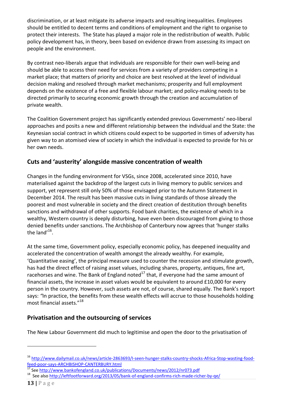discrimination, or at least mitigate its adverse impacts and resulting inequalities. Employees should be entitled to decent terms and conditions of employment and the right to organise to protect their interests. The State has played a major role in the redistribution of wealth. Public policy development has, in theory, been based on evidence drawn from assessing its impact on people and the environment.

By contrast neo-liberals argue that individuals are responsible for their own well-being and should be able to access their need for services from a variety of providers competing in a market place; that matters of priority and choice are best resolved at the level of individual decision making and resolved through market mechanisms; prosperity and full employment depends on the existence of a free and flexible labour market; and policy-making needs to be directed primarily to securing economic growth through the creation and accumulation of private wealth.

The Coalition Government project has significantly extended previous Governments' neo-liberal approaches and posits a new and different relationship between the individual and the State: the Keynesian social contract in which citizens could expect to be supported in times of adversity has given way to an atomised view of society in which the individual is expected to provide for his or her own needs.

#### Cuts and 'austerity' alongside massive concentration of wealth

Changes in the funding environment for VSGs, since 2008, accelerated since 2010, have materialised against the backdrop of the largest cuts in living memory to public services and support, yet represent still only 50% of those envisaged prior to the Autumn Statement in December 2014. The result has been massive cuts in living standards of those already the poorest and most vulnerable in society and the direct creation of destitution through benefits sanctions and withdrawal of other supports. Food bank charities, the existence of which in a wealthy, Western country is deeply disturbing, have even been discouraged from giving to those denied benefits under sanctions. The Archbishop of Canterbury now agrees that 'hunger stalks the land'<sup>16</sup>.

At the same time, Government policy, especially economic policy, has deepened inequality and accelerated the concentration of wealth amongst the already wealthy. For example, 'Quantitative easing', the principal measure used to counter the recession and stimulate growth, has had the direct effect of raising asset values, including shares, property, antiques, fine art, racehorses and wine. The Bank of England noted $^{17}$  that, if everyone had the same amount of financial assets, the increase in asset values would be equivalent to around £10,000 for every person in the country. However, such assets are not, of course, shared equally. The Bank's report says: "In practice, the benefits from these wealth effects will accrue to those households holding most financial assets."<sup>18</sup>

#### Privatisation and the outsourcing of services

The New Labour Government did much to legitimise and open the door to the privatisation of

<sup>16</sup> http://www.dailymail.co.uk/news/article-2863693/I-seen-hunger-stalks-country-shocks-Africa-Stop-wasting-foodfeed-poor-says-ARCHBISHOP-CANTERBURY.html

<sup>&</sup>lt;sup>17</sup> See http://www.bankofengland.co.uk/publications/Documents/news/2012/nr073.pdf

<sup>&</sup>lt;sup>18</sup> See also http://leftfootforward.org/2013/05/bank-of-england-confirms-rich-made-richer-by-qe/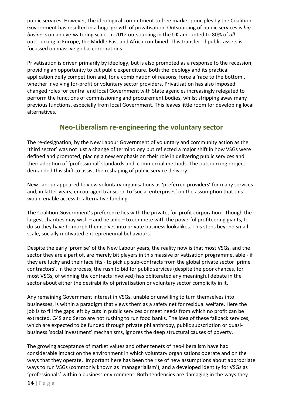public services. However, the ideological commitment to free market principles by the Coalition Government has resulted in a huge growth of privatisation. Outsourcing of public services is big business on an eye-watering scale. In 2012 outsourcing in the UK amounted to 80% of all outsourcing in Europe, the Middle East and Africa combined. This transfer of public assets is focussed on massive global corporations.

Privatisation is driven primarily by ideology, but is also promoted as a response to the recession, providing an opportunity to cut public expenditure. Both the ideology and its practical application deify competition and, for a combination of reasons, force a 'race to the bottom', whether involving for-profit or voluntary sector providers. Privatisation has also imposed changed roles for central and local Government with State agencies increasingly relegated to perform the functions of commissioning and procurement bodies, whilst stripping away many previous functions, especially from local Government. This leaves little room for developing local alternatives.

#### Neo-Liberalism re-engineering the voluntary sector

The re-designation, by the New Labour Government of voluntary and community action as the 'third sector' was not just a change of terminology but reflected a major shift in how VSGs were defined and promoted, placing a new emphasis on their role in delivering public services and their adoption of 'professional' standards and commercial methods. The outsourcing project demanded this shift to assist the reshaping of public service delivery.

New Labour appeared to view voluntary organisations as 'preferred providers' for many services and, in latter years, encouraged transition to 'social enterprises' on the assumption that this would enable access to alternative funding.

The Coalition Government's preference lies with the private, for-profit corporation. Though the largest charities may wish – and be able – to compete with the powerful profiteering giants, to do so they have to morph themselves into private business lookalikes. This steps beyond smallscale, socially motivated entrepreneurial behaviours.

Despite the early 'promise' of the New Labour years, the reality now is that most VSGs, and the sector they are a part of, are merely bit players in this massive privatisation programme, able - if they are lucky and their face fits - to pick up sub-contracts from the global private sector 'prime contractors'. In the process, the rush to bid for public services (despite the poor chances, for most VSGs, of winning the contracts involved) has obliterated any meaningful debate in the sector about either the desirability of privatisation or voluntary sector complicity in it.

Any remaining Government interest in VSGs, unable or unwilling to turn themselves into businesses, is within a paradigm that views them as a safety net for residual welfare. Here the job is to fill the gaps left by cuts in public services or meet needs from which no profit can be extracted. G4S and Serco are not rushing to run food banks. The idea of these fallback services, which are expected to be funded through private philanthropy, public subscription or quasibusiness 'social investment' mechanisms, ignores the deep structural causes of poverty.

The growing acceptance of market values and other tenets of neo-liberalism have had considerable impact on the environment in which voluntary organisations operate and on the ways that they operate. Important here has been the rise of new assumptions about appropriate ways to run VSGs (commonly known as 'managerialism'), and a developed identity for VSGs as 'professionals' within a business environment. Both tendencies are damaging in the ways they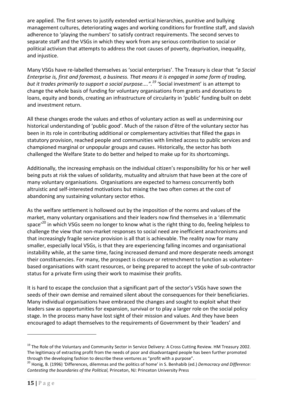are applied. The first serves to justify extended vertical hierarchies, punitive and bullying management cultures, deteriorating wages and working conditions for frontline staff, and slavish adherence to 'playing the numbers' to satisfy contract requirements. The second serves to separate staff and the VSGs in which they work from any serious contribution to social or political activism that attempts to address the root causes of poverty, deprivation, inequality, and injustice.

Many VSGs have re-labelled themselves as 'social enterprises'. The Treasury is clear that "a Social Enterprise is, first and foremost, a business. That means it is engaged in some form of trading, but it trades primarily to support a social purpose....".<sup>19</sup> 'Social investment' is an attempt to change the whole basis of funding for voluntary organisations from grants and donations to loans, equity and bonds, creating an infrastructure of circularity in 'public' funding built on debt and investment return.

All these changes erode the values and ethos of voluntary action as well as undermining our historical understanding of 'public good'. Much of the raison d'être of the voluntary sector has been in its role in contributing additional or complementary activities that filled the gaps in statutory provision, reached people and communities with limited access to public services and championed marginal or unpopular groups and causes. Historically, the sector has both challenged the Welfare State to do better and helped to make up for its shortcomings.

Additionally, the increasing emphasis on the individual citizen's responsibility for his or her well being puts at risk the values of solidarity, mutuality and altruism that have been at the core of many voluntary organisations. Organisations are expected to harness concurrently both altruistic and self-interested motivations but mixing the two often comes at the cost of abandoning any sustaining voluntary sector ethos.

As the welfare settlement is hollowed out by the imposition of the norms and values of the market, many voluntary organisations and their leaders now find themselves in a 'dilemmatic space<sup>'20</sup> in which VSGs seem no longer to know what is the right thing to do, feeling helpless to challenge the view that non-market responses to social need are inefficient anachronisms and that increasingly fragile service provision is all that is achievable. The reality now for many smaller, especially local VSGs, is that they are experiencing falling incomes and organisational instability while, at the same time, facing increased demand and more desperate needs amongst their constituencies. For many, the prospect is closure or retrenchment to function as volunteerbased organisations with scant resources, or being prepared to accept the yoke of sub-contractor status for a private firm using their work to maximise their profits.

It is hard to escape the conclusion that a significant part of the sector's VSGs have sown the seeds of their own demise and remained silent about the consequences for their beneficiaries. Many individual organisations have embraced the changes and sought to exploit what their leaders saw as opportunities for expansion, survival or to play a larger role on the social policy stage. In the process many have lost sight of their mission and values. And they have been encouraged to adapt themselves to the requirements of Government by their 'leaders' and

<sup>&</sup>lt;sup>19</sup> The Role of the Voluntary and Community Sector in Service Delivery: A Cross Cutting Review. HM Treasury 2002. The legitimacy of extracting profit from the needs of poor and disadvantaged people has been further promoted through the developing fashion to describe these ventures as "profit with a purpose".

<sup>&</sup>lt;sup>20</sup> Honig, B. (1996) 'Differences, dilemmas and the politics of home' in S. Benhabib (ed.) Democracy and Difference: Contesting the boundaries of the Political, Princeton, NJ: Princeton University Press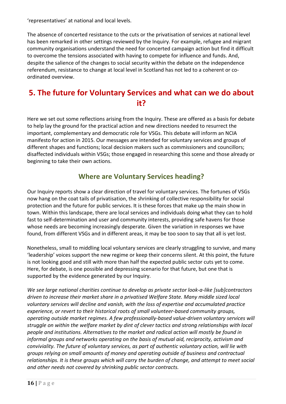'representatives' at national and local levels.

The absence of concerted resistance to the cuts or the privatisation of services at national level has been remarked in other settings reviewed by the Inquiry. For example, refugee and migrant community organisations understand the need for concerted campaign action but find it difficult to overcome the tensions associated with having to compete for influence and funds. And, despite the salience of the changes to social security within the debate on the independence referendum, resistance to change at local level in Scotland has not led to a coherent or coordinated overview.

## 5. The future for Voluntary Services and what can we do about it?

Here we set out some reflections arising from the Inquiry. These are offered as a basis for debate to help lay the ground for the practical action and new directions needed to resurrect the important, complementary and democratic role for VSGs. This debate will inform an NCIA manifesto for action in 2015. Our messages are intended for voluntary services and groups of different shapes and functions; local decision makers such as commissioners and councillors; disaffected individuals within VSGs; those engaged in researching this scene and those already or beginning to take their own actions.

#### Where are Voluntary Services heading?

Our Inquiry reports show a clear direction of travel for voluntary services. The fortunes of VSGs now hang on the coat tails of privatisation, the shrinking of collective responsibility for social protection and the future for public services. It is these forces that make up the main show in town. Within this landscape, there are local services and individuals doing what they can to hold fast to self-determination and user and community interests, providing safe havens for those whose needs are becoming increasingly desperate. Given the variation in responses we have found, from different VSGs and in different areas, it may be too soon to say that all is yet lost.

Nonetheless, small to middling local voluntary services are clearly struggling to survive, and many 'leadership' voices support the new regime or keep their concerns silent. At this point, the future is not looking good and still with more than half the expected public sector cuts yet to come. Here, for debate, is one possible and depressing scenario for that future, but one that is supported by the evidence generated by our Inquiry.

We see large national charities continue to develop as private sector look-a-like [sub]contractors driven to increase their market share in a privatised Welfare State. Many middle sized local voluntary services will decline and vanish, with the loss of expertise and accumulated practice experience, or revert to their historical roots of small volunteer-based community groups, operating outside market regimes. A few professionally-based value-driven voluntary services will struggle on within the welfare market by dint of clever tactics and strong relationships with local people and institutions. Alternatives to the market and radical action will mostly be found in informal groups and networks operating on the basis of mutual aid, reciprocity, activism and conviviality. The future of voluntary services, as part of authentic voluntary action, will lie with groups relying on small amounts of money and operating outside of business and contractual relationships. It is these groups which will carry the burden of change, and attempt to meet social and other needs not covered by shrinking public sector contracts.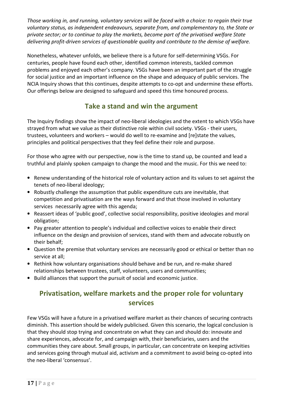Those working in, and running, voluntary services will be faced with a choice: to regain their true voluntary status, as independent endeavours, separate from, and complementary to, the State or private sector; or to continue to play the markets, become part of the privatised welfare State delivering profit-driven services of questionable quality and contribute to the demise of welfare.

Nonetheless, whatever unfolds, we believe there is a future for self-determining VSGs. For centuries, people have found each other, identified common interests, tackled common problems and enjoyed each other's company. VSGs have been an important part of the struggle for social justice and an important influence on the shape and adequacy of public services. The NCIA Inquiry shows that this continues, despite attempts to co-opt and undermine these efforts. Our offerings below are designed to safeguard and speed this time honoured process.

#### Take a stand and win the argument

The Inquiry findings show the impact of neo-liberal ideologies and the extent to which VSGs have strayed from what we value as their distinctive role within civil society. VSGs - their users, trustees, volunteers and workers – would do well to re-examine and [re]state the values, principles and political perspectives that they feel define their role and purpose.

For those who agree with our perspective, now is the time to stand up, be counted and lead a truthful and plainly spoken campaign to change the mood and the music. For this we need to:

- Renew understanding of the historical role of voluntary action and its values to set against the tenets of neo-liberal ideology;
- Robustly challenge the assumption that public expenditure cuts are inevitable, that competition and privatisation are the ways forward and that those involved in voluntary services necessarily agree with this agenda;
- Reassert ideas of 'public good', collective social responsibility, positive ideologies and moral obligation;
- Pay greater attention to people's individual and collective voices to enable their direct influence on the design and provision of services, stand with them and advocate robustly on their behalf;
- Question the premise that voluntary services are necessarily good or ethical or better than no service at all;
- Rethink how voluntary organisations should behave and be run, and re-make shared relationships between trustees, staff, volunteers, users and communities;
- Build alliances that support the pursuit of social and economic justice.

#### Privatisation, welfare markets and the proper role for voluntary services

Few VSGs will have a future in a privatised welfare market as their chances of securing contracts diminish. This assertion should be widely publicised. Given this scenario, the logical conclusion is that they should stop trying and concentrate on what they can and should do: innovate and share experiences, advocate for, and campaign with, their beneficiaries, users and the communities they care about. Small groups, in particular, can concentrate on keeping activities and services going through mutual aid, activism and a commitment to avoid being co-opted into the neo-liberal 'consensus'.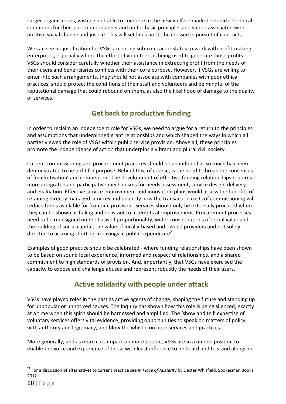Larger organisations, wishing and able to compete in the new welfare market, should set ethical conditions for their participation and stand up for basic principles and values associated with positive social change and justice. This will set lines not to be crossed in pursuit of contracts.

We can see no justification for VSGs accepting sub-contractor status to work with profit-making enterprises, especially where the effort of volunteers is being used to generate those profits. VSGs should consider carefully whether their assistance in extracting profit from the needs of their users and beneficiaries conflicts with their core purpose. However, if VSGs are willing to enter into such arrangements, they should not associate with companies with poor ethical practices, should protect the conditions of their staff and volunteers and be mindful of the reputational damage that could rebound on them, as also the likelihood of damage to the quality of services.

#### Get back to productive funding

In order to reclaim an independent role for VSGs, we need to argue for a return to the principles and assumptions that underpinned grant relationships and which shaped the ways in which all parties viewed the role of VSGs within public service provision. Above all, these principles promote the independence of action that underpins a vibrant and plural civil society.

Current commissioning and procurement practices should be abandoned as so much has been demonstrated to be unfit for purpose. Behind this, of course, is the need to break the consensus of 'marketisation' and competition. The development of effective funding relationships requires more integrated and participative mechanisms for needs assessment, service design, delivery and evaluation. Effective service improvement and innovation plans would assess the benefits of retaining directly managed services and quantify how the transaction costs of commissioning will reduce funds available for frontline provision. Services should only be externally procured where they can be shown as failing and resistant to attempts at improvement. Procurement processes need to be redesigned on the basis of proportionality, wider considerations of social value and the building of social capital, the value of locally-based and owned providers and not solely directed to accruing short-term savings in public expenditure $^{21}$ .

Examples of good practice should be celebrated - where funding relationships have been shown to be based on sound local experience, informed and respectful relationships, and a shared commitment to high standards of provision. And, importantly, that VSGs have exercised the capacity to expose and challenge abuses and represent robustly the needs of their users.

## Active solidarity with people under attack

VSGs have played roles in the past as active agents of change, shaping the future and standing up for unpopular or unnoticed causes. The Inquiry has shown how this role is being silenced, exactly at a time when this spirit should be harnessed and amplified. The 'show and tell' expertise of voluntary services offers vital evidence, providing opportunities to speak on matters of policy with authority and legitimacy, and blow the whistle on poor services and practices.

More generally, and as more cuts impact on more people, VSGs are in a unique position to enable the voice and experience of those with least influence to be heard and to stand alongside

<sup>&</sup>lt;sup>21</sup> For a discussion of alternatives to current practice see In Place of Austerity by Dexter Whitfield. Spokesman Books. 2012.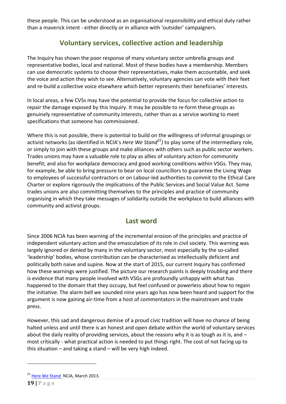these people. This can be understood as an organisational responsibility and ethical duty rather than a maverick intent - either directly or in alliance with 'outsider' campaigners.

#### Voluntary services, collective action and leadership

The Inquiry has shown the poor response of many voluntary sector umbrella groups and representative bodies, local and national. Most of these bodies have a membership. Members can use democratic systems to choose their representatives, make them accountable, and seek the voice and action they wish to see. Alternatively, voluntary agencies can vote with their feet and re-build a collective voice elsewhere which better represents their beneficiaries' interests.

In local areas, a few CVSs may have the potential to provide the focus for collective action to repair the damage exposed by this Inquiry. It may be possible to re-form these groups as genuinely representative of community interests, rather than as a service working to meet specifications that someone has commissioned.

Where this is not possible, there is potential to build on the willingness of informal groupings or activist networks (as identified in NCIA's *Here We Stand*<sup>22</sup>) to play some of the intermediary role, or simply to join with these groups and make alliances with others such as public sector workers. Trades unions may have a valuable role to play as allies of voluntary action for community benefit; and also for workplace democracy and good working conditions within VSGs. They may, for example, be able to bring pressure to bear on local councillors to guarantee the Living Wage to employees of successful contractors or on Labour-led authorities to commit to the Ethical Care Charter or explore rigorously the implications of the Public Services and Social Value Act. Some trades unions are also committing themselves to the principles and practice of community organising in which they take messages of solidarity outside the workplace to build alliances with community and activist groups.

#### Last word

Since 2006 NCIA has been warning of the incremental erosion of the principles and practice of independent voluntary action and the emasculation of its role in civil society. This warning was largely ignored or denied by many in the voluntary sector, most especially by the so-called 'leadership' bodies, whose contribution can be characterised as intellectually deficient and politically both naive and supine. Now at the start of 2015, our current Inquiry has confirmed how these warnings were justified. The picture our research paints is deeply troubling and there is evidence that many people involved with VSGs are profoundly unhappy with what has happened to the domain that they occupy, but feel confused or powerless about how to regain the initiative. The alarm bell we sounded nine years ago has now been heard and support for the argument is now gaining air-time from a host of commentators in the mainstream and trade press.

However, this sad and dangerous demise of a proud civic tradition will have no chance of being halted unless and until there is an honest and open debate within the world of voluntary services about the daily reality of providing services, about the reasons why it is as tough as it is, and  $$ most critically - what practical action is needed to put things right. The cost of not facing up to this situation – and taking a stand – will be very high indeed.

<sup>&</sup>lt;sup>22</sup> Here We Stand NCIA, March 2013.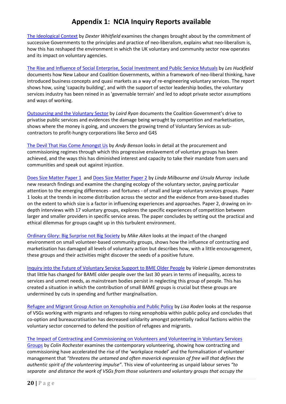#### Appendix 1: NCIA Inquiry Reports available

The Ideological Context by Dexter Whitfield examines the changes brought about by the commitment of successive Governments to the principles and practice of neo-liberalism, explains what neo-liberalism is, how this has reshaped the environment in which the UK voluntary and community sector now operates and its impact on voluntary agencies.

The Rise and Influence of Social Enterprise, Social Investment and Public Service Mutuals by Les Huckfield documents how New Labour and Coalition Governments, within a framework of neo-liberal thinking, have introduced business concepts and quasi markets as a way of re-engineering voluntary services. The report shows how, using 'capacity building', and with the support of sector leadership bodies, the voluntary services industry has been reined in as 'governable terrrain' and led to adopt private sector assumptions and ways of working.

Outsourcing and the Voluntary Sector by Laird Ryan documents the Coalition Government's drive to privatise public services and evidences the damage being wrought by competition and marketisation, shows where the money is going, and uncovers the growing trend of Voluntary Services as subcontractors to profit-hungry corporations like Serco and G4S

The Devil That Has Come Amongst Us by Andy Benson looks in detail at the procurement and commissioning regimes through which this progressive enslavement of voluntary groups has been achieved, and the ways this has diminished interest and capacity to take their mandate from users and communities and speak out against injustice.

Does Size Matter Paper 1 and Does Size Matter Paper 2 by Linda Milbourne and Ursula Murray include new research findings and examine the changing ecology of the voluntary sector, paying particular attention to the emerging differences - and fortunes - of small and large voluntary services groups. Paper 1 looks at the trends in income distribution across the sector and the evidence from area-based studies on the extent to which size is a factor in influencing experiences and approaches. Paper 2, drawing on indepth interviews with 17 voluntary groups, explores the specific experiences of competition between larger and smaller providers in specific service areas. The paper concludes by setting out the practical and ethical dilemmas for groups caught up in this turbulent environment.

Ordinary Glory: Big Surprise not Big Society by Mike Aiken looks at the impact of the changed environment on small volunteer-based community groups, shows how the influence of contracting and marketisation has damaged all levels of voluntary action but describes how, with a little encouragement, these groups and their activities might discover the seeds of a positive future.

Inquiry into the Future of Voluntary Service Support to BME Older People by Valerie Lipman demonstrates that little has changed for BAME older people over the last 30 years in terms of inequality, access to services and unmet needs, as mainstream bodies persist in neglecting this group of people. This has created a situation in which the contribution of small BAME groups is crucial but these groups are undermined by cuts in spending and further marginalisation.

Refugee and Migrant Group Action on Xenophobia and Public Policy by Lisa Roden looks at the response of VSGs working with migrants and refugees to rising xenophobia within public policy and concludes that co-option and bureaucratisation has decreased solidarity amongst potentially radical factions within the voluntary sector concerned to defend the position of refugees and migrants.

#### The Impact of Contracting and Commissioning on Volunteers and Volunteering in Voluntary Services

Groups by Colin Rochester examines the contemporary volunteering, showing how contracting and commissioning have accelerated the rise of the 'workplace model' and the formalisation of volunteer management that "threatens the untamed and often maverick expression of free will that defines the authentic spirit of the volunteering impulse". This view of volunteering as unpaid labour serves "to separate and distance the work of VSGs from those volunteers and voluntary groups that occupy the